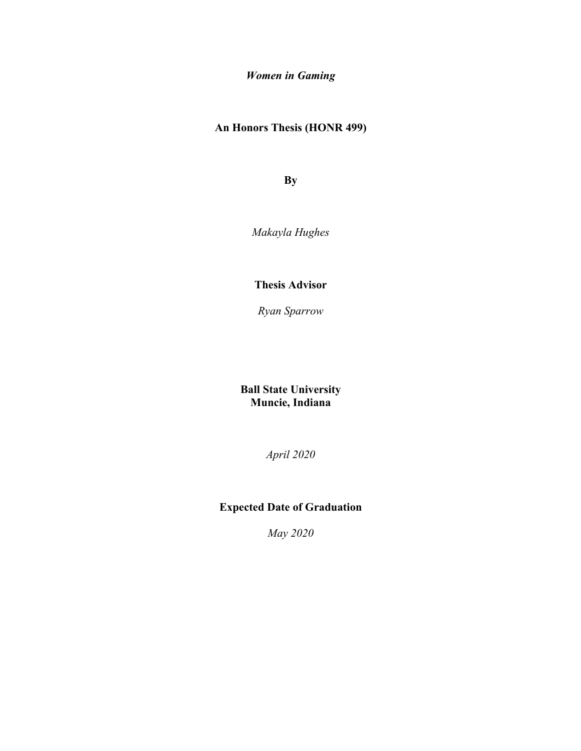*Women in Gaming*

**An Honors Thesis (HONR 499)**

**By**

*Makayla Hughes*

**Thesis Advisor**

*Ryan Sparrow*

**Ball State University Muncie, Indiana**

*April 2020*

# **Expected Date of Graduation**

*May 2020*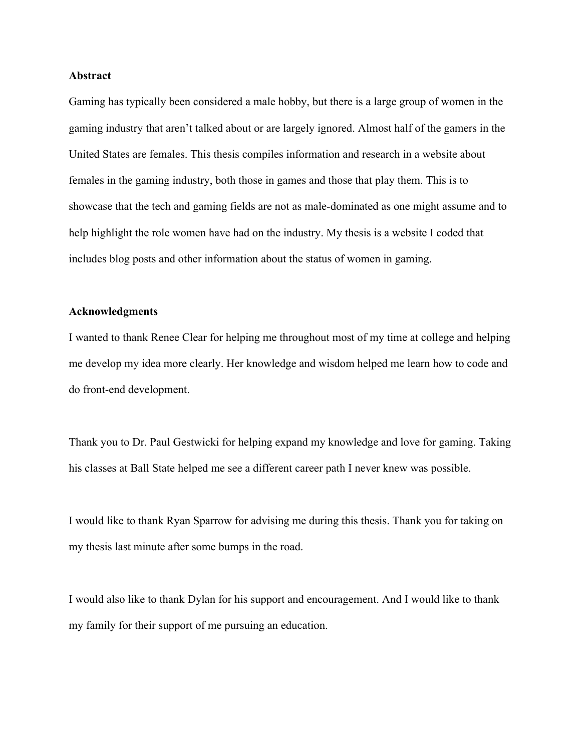#### **Abstract**

Gaming has typically been considered a male hobby, but there is a large group of women in the gaming industry that aren't talked about or are largely ignored. Almost half of the gamers in the United States are females. This thesis compiles information and research in a website about females in the gaming industry, both those in games and those that play them. This is to showcase that the tech and gaming fields are not as male-dominated as one might assume and to help highlight the role women have had on the industry. My thesis is a website I coded that includes blog posts and other information about the status of women in gaming.

#### **Acknowledgments**

I wanted to thank Renee Clear for helping me throughout most of my time at college and helping me develop my idea more clearly. Her knowledge and wisdom helped me learn how to code and do front-end development.

Thank you to Dr. Paul Gestwicki for helping expand my knowledge and love for gaming. Taking his classes at Ball State helped me see a different career path I never knew was possible.

I would like to thank Ryan Sparrow for advising me during this thesis. Thank you for taking on my thesis last minute after some bumps in the road.

I would also like to thank Dylan for his support and encouragement. And I would like to thank my family for their support of me pursuing an education.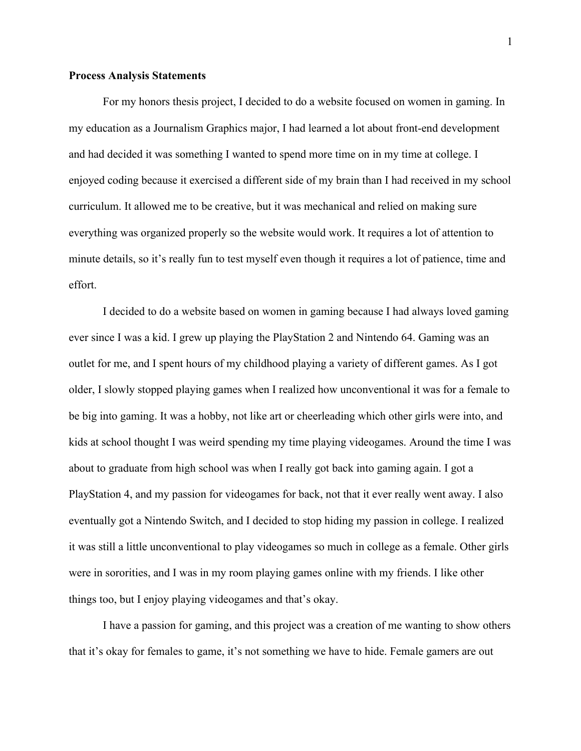### **Process Analysis Statements**

For my honors thesis project, I decided to do a website focused on women in gaming. In my education as a Journalism Graphics major, I had learned a lot about front-end development and had decided it was something I wanted to spend more time on in my time at college. I enjoyed coding because it exercised a different side of my brain than I had received in my school curriculum. It allowed me to be creative, but it was mechanical and relied on making sure everything was organized properly so the website would work. It requires a lot of attention to minute details, so it's really fun to test myself even though it requires a lot of patience, time and effort.

I decided to do a website based on women in gaming because I had always loved gaming ever since I was a kid. I grew up playing the PlayStation 2 and Nintendo 64. Gaming was an outlet for me, and I spent hours of my childhood playing a variety of different games. As I got older, I slowly stopped playing games when I realized how unconventional it was for a female to be big into gaming. It was a hobby, not like art or cheerleading which other girls were into, and kids at school thought I was weird spending my time playing videogames. Around the time I was about to graduate from high school was when I really got back into gaming again. I got a PlayStation 4, and my passion for videogames for back, not that it ever really went away. I also eventually got a Nintendo Switch, and I decided to stop hiding my passion in college. I realized it was still a little unconventional to play videogames so much in college as a female. Other girls were in sororities, and I was in my room playing games online with my friends. I like other things too, but I enjoy playing videogames and that's okay.

I have a passion for gaming, and this project was a creation of me wanting to show others that it's okay for females to game, it's not something we have to hide. Female gamers are out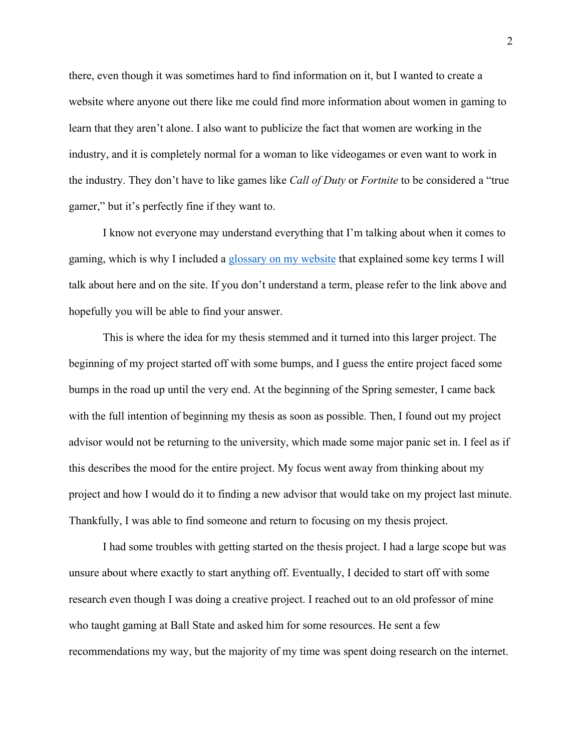there, even though it was sometimes hard to find information on it, but I wanted to create a website where anyone out there like me could find more information about women in gaming to learn that they aren't alone. I also want to publicize the fact that women are working in the industry, and it is completely normal for a woman to like videogames or even want to work in the industry. They don't have to like games like *Call of Duty* or *Fortnite* to be considered a "true gamer," but it's perfectly fine if they want to.

I know not everyone may understand everything that I'm talking about when it comes to gaming, which is why I included a glossary on my website that explained some key terms I will talk about here and on the site. If you don't understand a term, please refer to the link above and hopefully you will be able to find your answer.

This is where the idea for my thesis stemmed and it turned into this larger project. The beginning of my project started off with some bumps, and I guess the entire project faced some bumps in the road up until the very end. At the beginning of the Spring semester, I came back with the full intention of beginning my thesis as soon as possible. Then, I found out my project advisor would not be returning to the university, which made some major panic set in. I feel as if this describes the mood for the entire project. My focus went away from thinking about my project and how I would do it to finding a new advisor that would take on my project last minute. Thankfully, I was able to find someone and return to focusing on my thesis project.

I had some troubles with getting started on the thesis project. I had a large scope but was unsure about where exactly to start anything off. Eventually, I decided to start off with some research even though I was doing a creative project. I reached out to an old professor of mine who taught gaming at Ball State and asked him for some resources. He sent a few recommendations my way, but the majority of my time was spent doing research on the internet.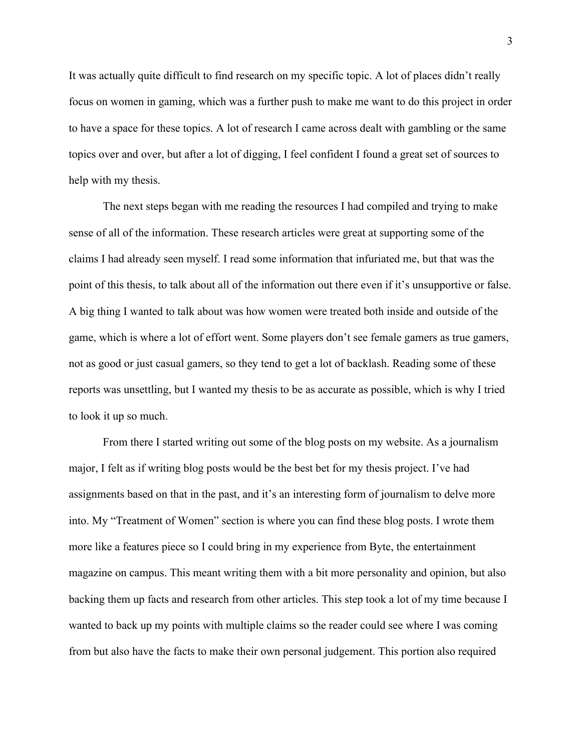It was actually quite difficult to find research on my specific topic. A lot of places didn't really focus on women in gaming, which was a further push to make me want to do this project in order to have a space for these topics. A lot of research I came across dealt with gambling or the same topics over and over, but after a lot of digging, I feel confident I found a great set of sources to help with my thesis.

The next steps began with me reading the resources I had compiled and trying to make sense of all of the information. These research articles were great at supporting some of the claims I had already seen myself. I read some information that infuriated me, but that was the point of this thesis, to talk about all of the information out there even if it's unsupportive or false. A big thing I wanted to talk about was how women were treated both inside and outside of the game, which is where a lot of effort went. Some players don't see female gamers as true gamers, not as good or just casual gamers, so they tend to get a lot of backlash. Reading some of these reports was unsettling, but I wanted my thesis to be as accurate as possible, which is why I tried to look it up so much.

From there I started writing out some of the blog posts on my website. As a journalism major, I felt as if writing blog posts would be the best bet for my thesis project. I've had assignments based on that in the past, and it's an interesting form of journalism to delve more into. My "Treatment of Women" section is where you can find these blog posts. I wrote them more like a features piece so I could bring in my experience from Byte, the entertainment magazine on campus. This meant writing them with a bit more personality and opinion, but also backing them up facts and research from other articles. This step took a lot of my time because I wanted to back up my points with multiple claims so the reader could see where I was coming from but also have the facts to make their own personal judgement. This portion also required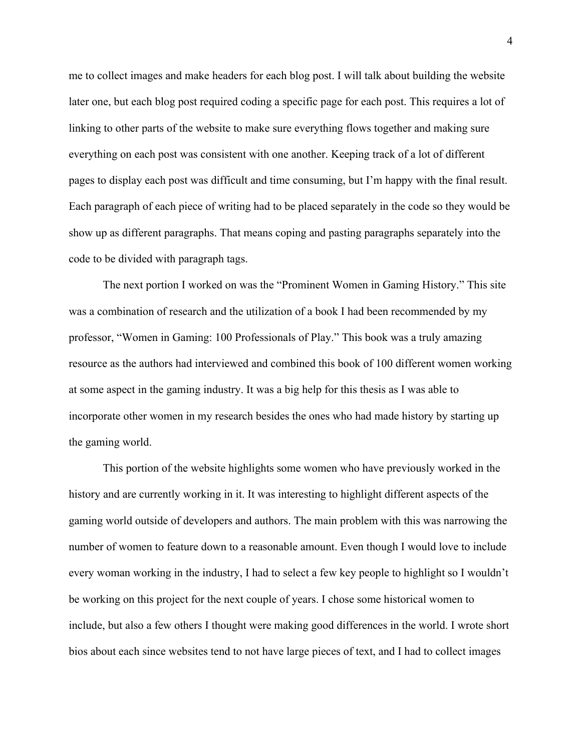me to collect images and make headers for each blog post. I will talk about building the website later one, but each blog post required coding a specific page for each post. This requires a lot of linking to other parts of the website to make sure everything flows together and making sure everything on each post was consistent with one another. Keeping track of a lot of different pages to display each post was difficult and time consuming, but I'm happy with the final result. Each paragraph of each piece of writing had to be placed separately in the code so they would be show up as different paragraphs. That means coping and pasting paragraphs separately into the code to be divided with paragraph tags.

The next portion I worked on was the "Prominent Women in Gaming History." This site was a combination of research and the utilization of a book I had been recommended by my professor, "Women in Gaming: 100 Professionals of Play." This book was a truly amazing resource as the authors had interviewed and combined this book of 100 different women working at some aspect in the gaming industry. It was a big help for this thesis as I was able to incorporate other women in my research besides the ones who had made history by starting up the gaming world.

This portion of the website highlights some women who have previously worked in the history and are currently working in it. It was interesting to highlight different aspects of the gaming world outside of developers and authors. The main problem with this was narrowing the number of women to feature down to a reasonable amount. Even though I would love to include every woman working in the industry, I had to select a few key people to highlight so I wouldn't be working on this project for the next couple of years. I chose some historical women to include, but also a few others I thought were making good differences in the world. I wrote short bios about each since websites tend to not have large pieces of text, and I had to collect images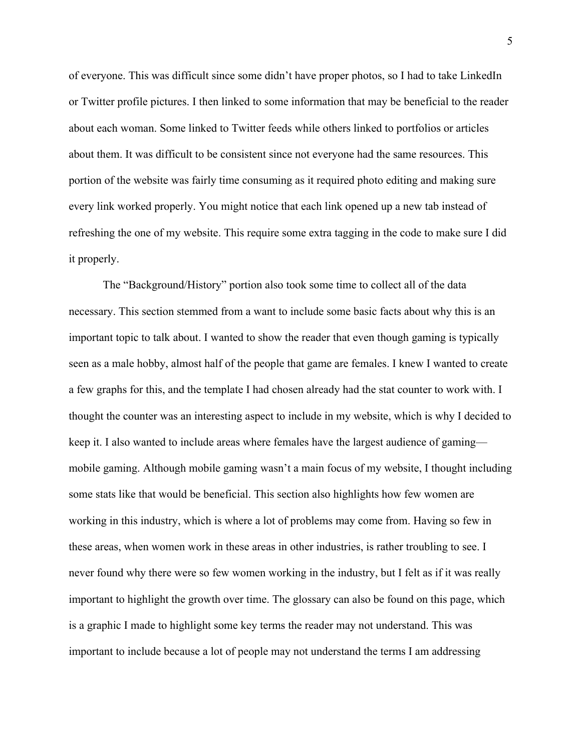of everyone. This was difficult since some didn't have proper photos, so I had to take LinkedIn or Twitter profile pictures. I then linked to some information that may be beneficial to the reader about each woman. Some linked to Twitter feeds while others linked to portfolios or articles about them. It was difficult to be consistent since not everyone had the same resources. This portion of the website was fairly time consuming as it required photo editing and making sure every link worked properly. You might notice that each link opened up a new tab instead of refreshing the one of my website. This require some extra tagging in the code to make sure I did it properly.

The "Background/History" portion also took some time to collect all of the data necessary. This section stemmed from a want to include some basic facts about why this is an important topic to talk about. I wanted to show the reader that even though gaming is typically seen as a male hobby, almost half of the people that game are females. I knew I wanted to create a few graphs for this, and the template I had chosen already had the stat counter to work with. I thought the counter was an interesting aspect to include in my website, which is why I decided to keep it. I also wanted to include areas where females have the largest audience of gaming mobile gaming. Although mobile gaming wasn't a main focus of my website, I thought including some stats like that would be beneficial. This section also highlights how few women are working in this industry, which is where a lot of problems may come from. Having so few in these areas, when women work in these areas in other industries, is rather troubling to see. I never found why there were so few women working in the industry, but I felt as if it was really important to highlight the growth over time. The glossary can also be found on this page, which is a graphic I made to highlight some key terms the reader may not understand. This was important to include because a lot of people may not understand the terms I am addressing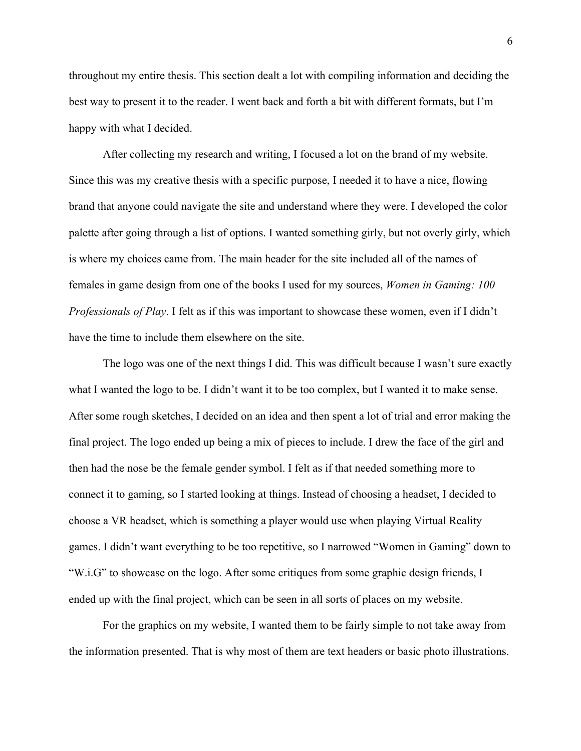throughout my entire thesis. This section dealt a lot with compiling information and deciding the best way to present it to the reader. I went back and forth a bit with different formats, but I'm happy with what I decided.

After collecting my research and writing, I focused a lot on the brand of my website. Since this was my creative thesis with a specific purpose, I needed it to have a nice, flowing brand that anyone could navigate the site and understand where they were. I developed the color palette after going through a list of options. I wanted something girly, but not overly girly, which is where my choices came from. The main header for the site included all of the names of females in game design from one of the books I used for my sources, *Women in Gaming: 100 Professionals of Play*. I felt as if this was important to showcase these women, even if I didn't have the time to include them elsewhere on the site.

The logo was one of the next things I did. This was difficult because I wasn't sure exactly what I wanted the logo to be. I didn't want it to be too complex, but I wanted it to make sense. After some rough sketches, I decided on an idea and then spent a lot of trial and error making the final project. The logo ended up being a mix of pieces to include. I drew the face of the girl and then had the nose be the female gender symbol. I felt as if that needed something more to connect it to gaming, so I started looking at things. Instead of choosing a headset, I decided to choose a VR headset, which is something a player would use when playing Virtual Reality games. I didn't want everything to be too repetitive, so I narrowed "Women in Gaming" down to "W.i.G" to showcase on the logo. After some critiques from some graphic design friends, I ended up with the final project, which can be seen in all sorts of places on my website.

For the graphics on my website, I wanted them to be fairly simple to not take away from the information presented. That is why most of them are text headers or basic photo illustrations.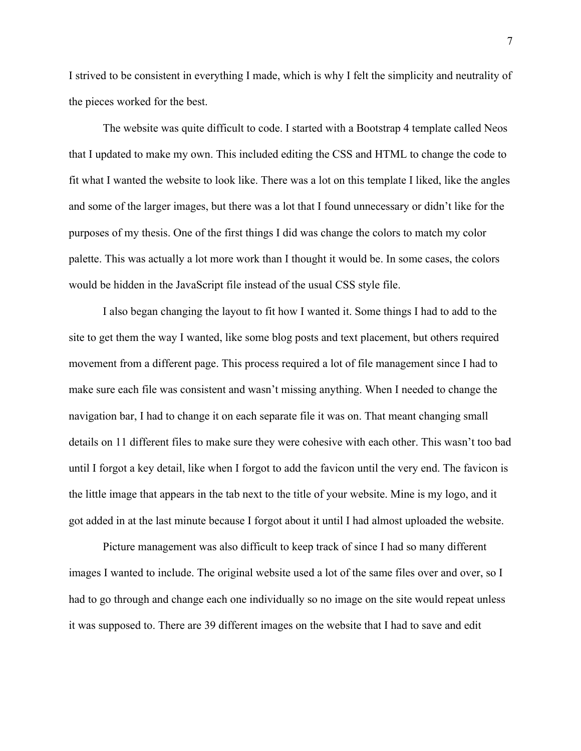I strived to be consistent in everything I made, which is why I felt the simplicity and neutrality of the pieces worked for the best.

The website was quite difficult to code. I started with a Bootstrap 4 template called Neos that I updated to make my own. This included editing the CSS and HTML to change the code to fit what I wanted the website to look like. There was a lot on this template I liked, like the angles and some of the larger images, but there was a lot that I found unnecessary or didn't like for the purposes of my thesis. One of the first things I did was change the colors to match my color palette. This was actually a lot more work than I thought it would be. In some cases, the colors would be hidden in the JavaScript file instead of the usual CSS style file.

I also began changing the layout to fit how I wanted it. Some things I had to add to the site to get them the way I wanted, like some blog posts and text placement, but others required movement from a different page. This process required a lot of file management since I had to make sure each file was consistent and wasn't missing anything. When I needed to change the navigation bar, I had to change it on each separate file it was on. That meant changing small details on 11 different files to make sure they were cohesive with each other. This wasn't too bad until I forgot a key detail, like when I forgot to add the favicon until the very end. The favicon is the little image that appears in the tab next to the title of your website. Mine is my logo, and it got added in at the last minute because I forgot about it until I had almost uploaded the website.

Picture management was also difficult to keep track of since I had so many different images I wanted to include. The original website used a lot of the same files over and over, so I had to go through and change each one individually so no image on the site would repeat unless it was supposed to. There are 39 different images on the website that I had to save and edit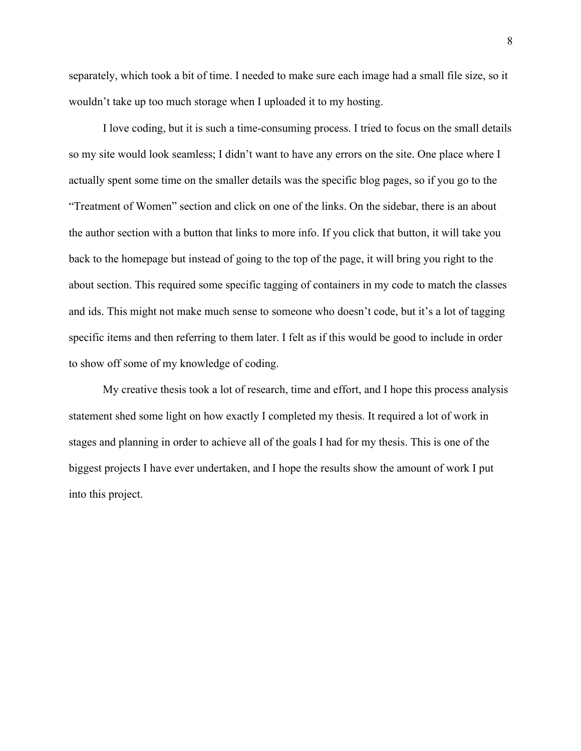separately, which took a bit of time. I needed to make sure each image had a small file size, so it wouldn't take up too much storage when I uploaded it to my hosting.

I love coding, but it is such a time-consuming process. I tried to focus on the small details so my site would look seamless; I didn't want to have any errors on the site. One place where I actually spent some time on the smaller details was the specific blog pages, so if you go to the "Treatment of Women" section and click on one of the links. On the sidebar, there is an about the author section with a button that links to more info. If you click that button, it will take you back to the homepage but instead of going to the top of the page, it will bring you right to the about section. This required some specific tagging of containers in my code to match the classes and ids. This might not make much sense to someone who doesn't code, but it's a lot of tagging specific items and then referring to them later. I felt as if this would be good to include in order to show off some of my knowledge of coding.

My creative thesis took a lot of research, time and effort, and I hope this process analysis statement shed some light on how exactly I completed my thesis. It required a lot of work in stages and planning in order to achieve all of the goals I had for my thesis. This is one of the biggest projects I have ever undertaken, and I hope the results show the amount of work I put into this project.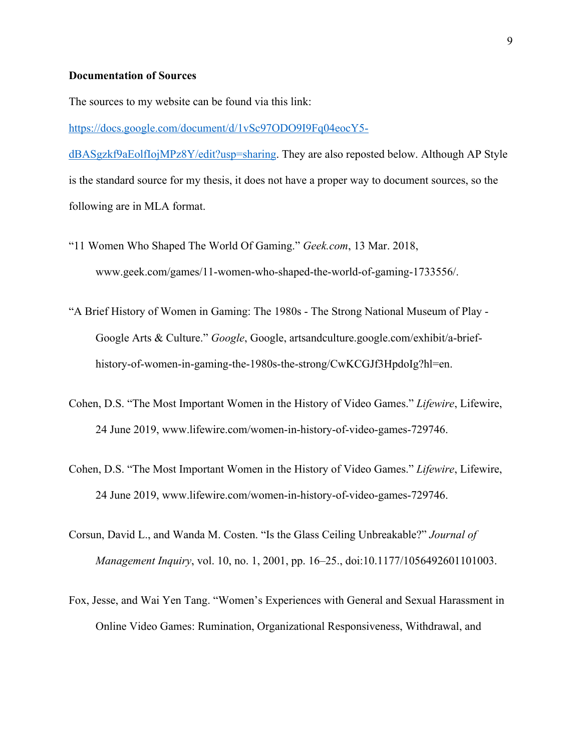#### **Documentation of Sources**

The sources to my website can be found via this link:

https://docs.google.com/document/d/1vSc97ODO9I9Fq04eocY5-

dBASgzkf9aEolfIojMPz8Y/edit?usp=sharing. They are also reposted below. Although AP Style is the standard source for my thesis, it does not have a proper way to document sources, so the following are in MLA format.

- "11 Women Who Shaped The World Of Gaming." *Geek.com*, 13 Mar. 2018, www.geek.com/games/11-women-who-shaped-the-world-of-gaming-1733556/.
- "A Brief History of Women in Gaming: The 1980s The Strong National Museum of Play Google Arts & Culture." *Google*, Google, artsandculture.google.com/exhibit/a-briefhistory-of-women-in-gaming-the-1980s-the-strong/CwKCGJf3HpdoIg?hl=en.
- Cohen, D.S. "The Most Important Women in the History of Video Games." *Lifewire*, Lifewire, 24 June 2019, www.lifewire.com/women-in-history-of-video-games-729746.
- Cohen, D.S. "The Most Important Women in the History of Video Games." *Lifewire*, Lifewire, 24 June 2019, www.lifewire.com/women-in-history-of-video-games-729746.
- Corsun, David L., and Wanda M. Costen. "Is the Glass Ceiling Unbreakable?" *Journal of Management Inquiry*, vol. 10, no. 1, 2001, pp. 16–25., doi:10.1177/1056492601101003.
- Fox, Jesse, and Wai Yen Tang. "Women's Experiences with General and Sexual Harassment in Online Video Games: Rumination, Organizational Responsiveness, Withdrawal, and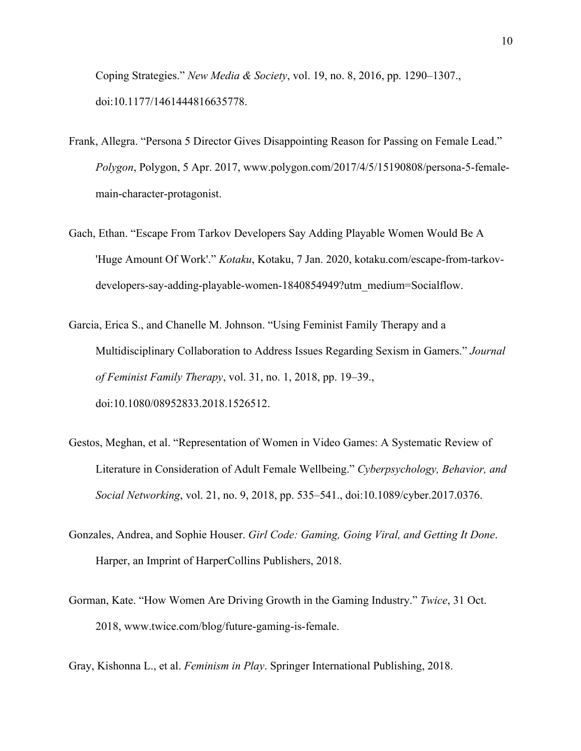Coping Strategies." *New Media & Society*, vol. 19, no. 8, 2016, pp. 1290–1307., doi:10.1177/1461444816635778.

- Frank, Allegra. "Persona 5 Director Gives Disappointing Reason for Passing on Female Lead." *Polygon*, Polygon, 5 Apr. 2017, www.polygon.com/2017/4/5/15190808/persona-5-femalemain-character-protagonist.
- Gach, Ethan. "Escape From Tarkov Developers Say Adding Playable Women Would Be A 'Huge Amount Of Work'." *Kotaku*, Kotaku, 7 Jan. 2020, kotaku.com/escape-from-tarkovdevelopers-say-adding-playable-women-1840854949?utm\_medium=Socialflow.
- Garcia, Erica S., and Chanelle M. Johnson. "Using Feminist Family Therapy and a Multidisciplinary Collaboration to Address Issues Regarding Sexism in Gamers." *Journal of Feminist Family Therapy*, vol. 31, no. 1, 2018, pp. 19–39., doi:10.1080/08952833.2018.1526512.
- Gestos, Meghan, et al. "Representation of Women in Video Games: A Systematic Review of Literature in Consideration of Adult Female Wellbeing." *Cyberpsychology, Behavior, and Social Networking*, vol. 21, no. 9, 2018, pp. 535–541., doi:10.1089/cyber.2017.0376.
- Gonzales, Andrea, and Sophie Houser. *Girl Code: Gaming, Going Viral, and Getting It Done*. Harper, an Imprint of HarperCollins Publishers, 2018.
- Gorman, Kate. "How Women Are Driving Growth in the Gaming Industry." *Twice*, 31 Oct. 2018, www.twice.com/blog/future-gaming-is-female.

Gray, Kishonna L., et al. *Feminism in Play*. Springer International Publishing, 2018.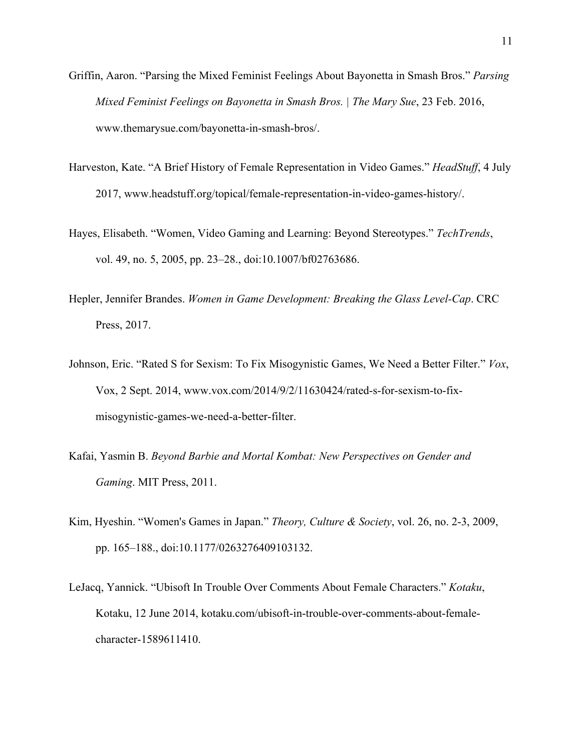- Griffin, Aaron. "Parsing the Mixed Feminist Feelings About Bayonetta in Smash Bros." *Parsing Mixed Feminist Feelings on Bayonetta in Smash Bros. | The Mary Sue*, 23 Feb. 2016, www.themarysue.com/bayonetta-in-smash-bros/.
- Harveston, Kate. "A Brief History of Female Representation in Video Games." *HeadStuff*, 4 July 2017, www.headstuff.org/topical/female-representation-in-video-games-history/.
- Hayes, Elisabeth. "Women, Video Gaming and Learning: Beyond Stereotypes." *TechTrends*, vol. 49, no. 5, 2005, pp. 23–28., doi:10.1007/bf02763686.
- Hepler, Jennifer Brandes. *Women in Game Development: Breaking the Glass Level-Cap*. CRC Press, 2017.
- Johnson, Eric. "Rated S for Sexism: To Fix Misogynistic Games, We Need a Better Filter." *Vox*, Vox, 2 Sept. 2014, www.vox.com/2014/9/2/11630424/rated-s-for-sexism-to-fixmisogynistic-games-we-need-a-better-filter.
- Kafai, Yasmin B. *Beyond Barbie and Mortal Kombat: New Perspectives on Gender and Gaming*. MIT Press, 2011.
- Kim, Hyeshin. "Women's Games in Japan." *Theory, Culture & Society*, vol. 26, no. 2-3, 2009, pp. 165–188., doi:10.1177/0263276409103132.
- LeJacq, Yannick. "Ubisoft In Trouble Over Comments About Female Characters." *Kotaku*, Kotaku, 12 June 2014, kotaku.com/ubisoft-in-trouble-over-comments-about-femalecharacter-1589611410.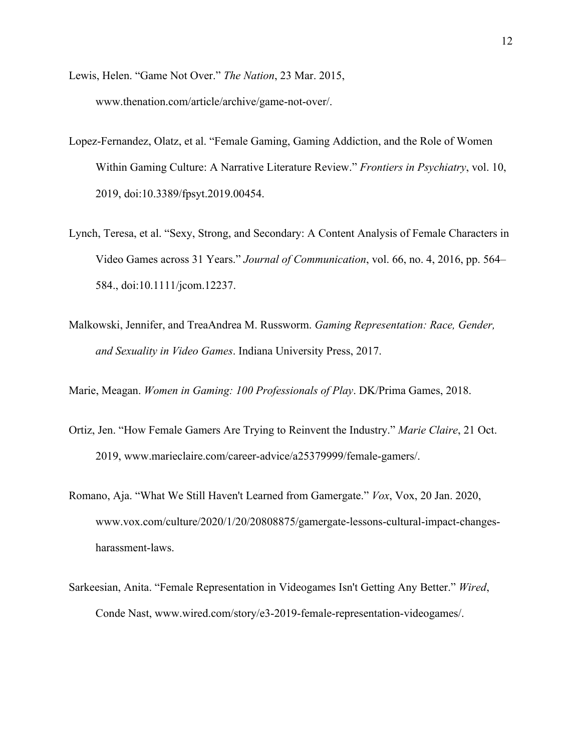- Lewis, Helen. "Game Not Over." *The Nation*, 23 Mar. 2015, www.thenation.com/article/archive/game-not-over/.
- Lopez-Fernandez, Olatz, et al. "Female Gaming, Gaming Addiction, and the Role of Women Within Gaming Culture: A Narrative Literature Review." *Frontiers in Psychiatry*, vol. 10, 2019, doi:10.3389/fpsyt.2019.00454.
- Lynch, Teresa, et al. "Sexy, Strong, and Secondary: A Content Analysis of Female Characters in Video Games across 31 Years." *Journal of Communication*, vol. 66, no. 4, 2016, pp. 564– 584., doi:10.1111/jcom.12237.
- Malkowski, Jennifer, and TreaAndrea M. Russworm. *Gaming Representation: Race, Gender, and Sexuality in Video Games*. Indiana University Press, 2017.

Marie, Meagan. *Women in Gaming: 100 Professionals of Play*. DK/Prima Games, 2018.

- Ortiz, Jen. "How Female Gamers Are Trying to Reinvent the Industry." *Marie Claire*, 21 Oct. 2019, www.marieclaire.com/career-advice/a25379999/female-gamers/.
- Romano, Aja. "What We Still Haven't Learned from Gamergate." *Vox*, Vox, 20 Jan. 2020, www.vox.com/culture/2020/1/20/20808875/gamergate-lessons-cultural-impact-changesharassment-laws.
- Sarkeesian, Anita. "Female Representation in Videogames Isn't Getting Any Better." *Wired*, Conde Nast, www.wired.com/story/e3-2019-female-representation-videogames/.